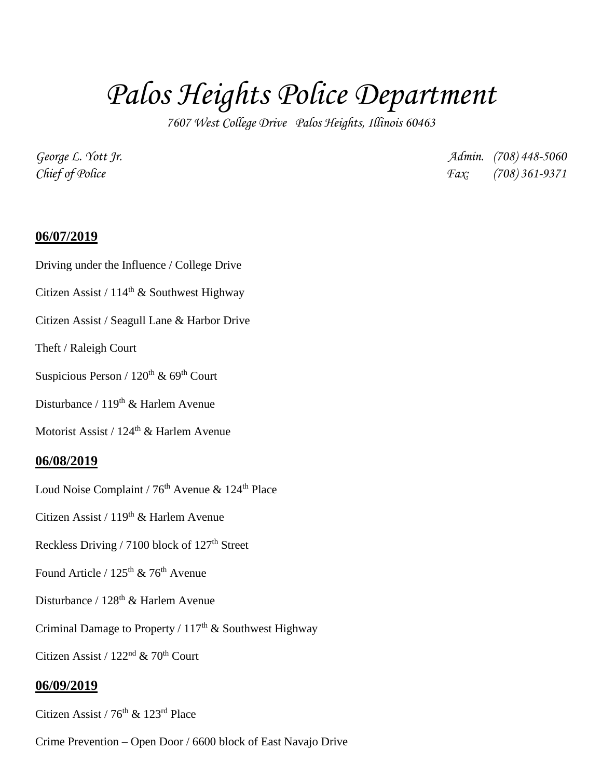## *Palos Heights Police Department*

*7607 West College Drive Palos Heights, Illinois 60463*

*George L. Yott Jr. Admin. (708) 448-5060 Chief of Police Fax: (708) 361-9371*

## **06/07/2019**

Driving under the Influence / College Drive

Citizen Assist /  $114<sup>th</sup>$  & Southwest Highway

Citizen Assist / Seagull Lane & Harbor Drive

Theft / Raleigh Court

Suspicious Person /  $120^{th}$  &  $69^{th}$  Court

Disturbance / 119<sup>th</sup> & Harlem Avenue

Motorist Assist / 124<sup>th</sup> & Harlem Avenue

## **06/08/2019**

Loud Noise Complaint /  $76<sup>th</sup>$  Avenue & 124<sup>th</sup> Place

Citizen Assist /  $119<sup>th</sup>$  & Harlem Avenue

Reckless Driving / 7100 block of 127<sup>th</sup> Street

Found Article /  $125<sup>th</sup>$  & 76<sup>th</sup> Avenue

Disturbance / 128<sup>th</sup> & Harlem Avenue

Criminal Damage to Property /  $117<sup>th</sup>$  & Southwest Highway

Citizen Assist /  $122<sup>nd</sup>$  & 70<sup>th</sup> Court

## **06/09/2019**

Citizen Assist /  $76<sup>th</sup>$  & 123<sup>rd</sup> Place

Crime Prevention – Open Door / 6600 block of East Navajo Drive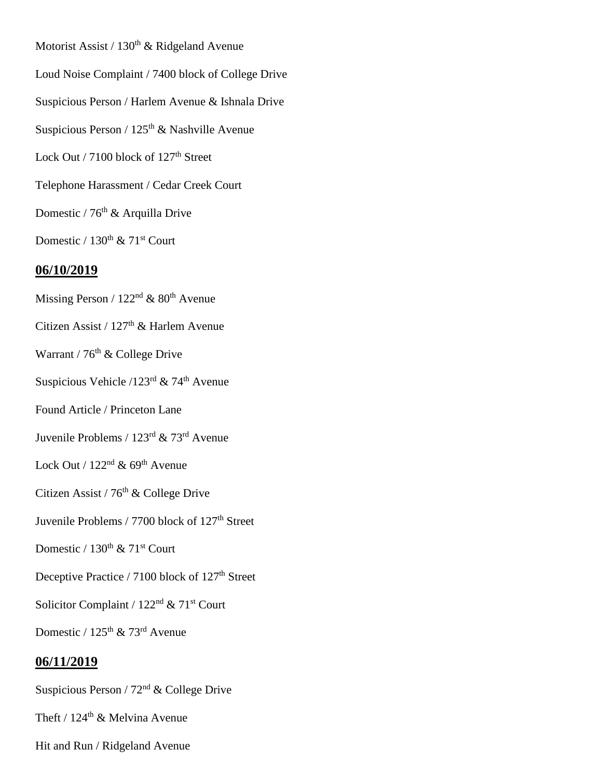- Motorist Assist /  $130<sup>th</sup>$  & Ridgeland Avenue Loud Noise Complaint / 7400 block of College Drive Suspicious Person / Harlem Avenue & Ishnala Drive Suspicious Person /  $125<sup>th</sup>$  & Nashville Avenue Lock Out / 7100 block of 127<sup>th</sup> Street Telephone Harassment / Cedar Creek Court Domestic / 76<sup>th</sup> & Arquilla Drive Domestic /  $130^{th}$  &  $71^{st}$  Court **06/10/2019** Missing Person /  $122<sup>nd</sup>$  &  $80<sup>th</sup>$  Avenue Citizen Assist / 127<sup>th</sup> & Harlem Avenue Warrant /  $76<sup>th</sup>$  & College Drive Suspicious Vehicle /123<sup>rd</sup> & 74<sup>th</sup> Avenue Found Article / Princeton Lane Juvenile Problems / 123rd & 73rd Avenue Lock Out /  $122<sup>nd</sup>$  & 69<sup>th</sup> Avenue Citizen Assist /  $76<sup>th</sup>$  & College Drive Juvenile Problems / 7700 block of 127<sup>th</sup> Street Domestic /  $130^{th}$  &  $71^{st}$  Court Deceptive Practice / 7100 block of 127<sup>th</sup> Street Solicitor Complaint / 122<sup>nd</sup> & 71<sup>st</sup> Court Domestic / 125<sup>th</sup> & 73<sup>rd</sup> Avenue **06/11/2019** Suspicious Person /  $72<sup>nd</sup>$  & College Drive
- Theft /  $124^{\text{th}}$  & Melvina Avenue
- Hit and Run / Ridgeland Avenue